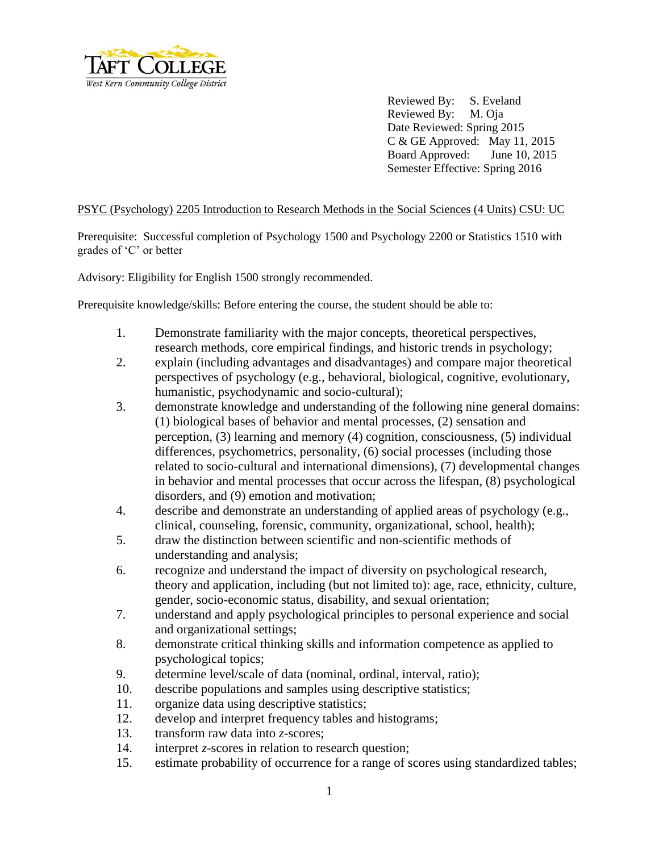

Reviewed By: S. Eveland Reviewed By: M. Oja Date Reviewed: Spring 2015 C & GE Approved: May 11, 2015 Board Approved: June 10, 2015 Semester Effective: Spring 2016

## PSYC (Psychology) 2205 Introduction to Research Methods in the Social Sciences (4 Units) CSU: UC

Prerequisite: Successful completion of Psychology 1500 and Psychology 2200 or Statistics 1510 with grades of 'C' or better

Advisory: Eligibility for English 1500 strongly recommended.

Prerequisite knowledge/skills: Before entering the course, the student should be able to:

- 1. Demonstrate familiarity with the major concepts, theoretical perspectives, research methods, core empirical findings, and historic trends in psychology;
- 2. explain (including advantages and disadvantages) and compare major theoretical perspectives of psychology (e.g., behavioral, biological, cognitive, evolutionary, humanistic, psychodynamic and socio-cultural);
- 3. demonstrate knowledge and understanding of the following nine general domains: (1) biological bases of behavior and mental processes, (2) sensation and perception, (3) learning and memory (4) cognition, consciousness, (5) individual differences, psychometrics, personality, (6) social processes (including those related to socio-cultural and international dimensions), (7) developmental changes in behavior and mental processes that occur across the lifespan, (8) psychological disorders, and (9) emotion and motivation;
- 4. describe and demonstrate an understanding of applied areas of psychology (e.g., clinical, counseling, forensic, community, organizational, school, health);
- 5. draw the distinction between scientific and non-scientific methods of understanding and analysis;
- 6. recognize and understand the impact of diversity on psychological research, theory and application, including (but not limited to): age, race, ethnicity, culture, gender, socio-economic status, disability, and sexual orientation;
- 7. understand and apply psychological principles to personal experience and social and organizational settings;
- 8. demonstrate critical thinking skills and information competence as applied to psychological topics;
- 9. determine level/scale of data (nominal, ordinal, interval, ratio);
- 10. describe populations and samples using descriptive statistics;
- 11. organize data using descriptive statistics;
- 12. develop and interpret frequency tables and histograms;
- 13. transform raw data into *z*-scores;
- 14. interpret *z*-scores in relation to research question;
- 15. estimate probability of occurrence for a range of scores using standardized tables;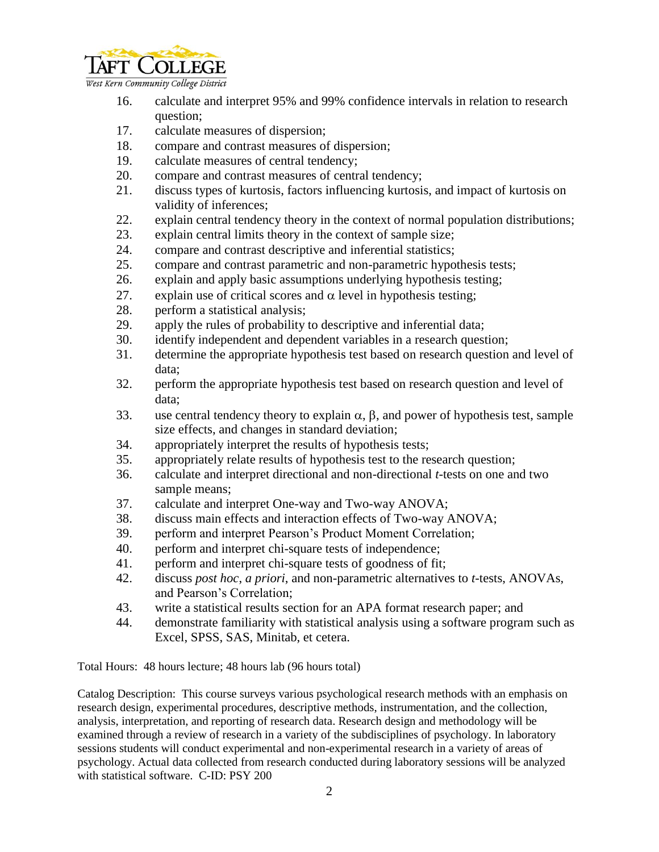

West Kern Community College District

- 16. calculate and interpret 95% and 99% confidence intervals in relation to research question;
- 17. calculate measures of dispersion;
- 18. compare and contrast measures of dispersion;
- 19. calculate measures of central tendency;
- 20. compare and contrast measures of central tendency;
- 21. discuss types of kurtosis, factors influencing kurtosis, and impact of kurtosis on validity of inferences;
- 22. explain central tendency theory in the context of normal population distributions;
- 23. explain central limits theory in the context of sample size;
- 24. compare and contrast descriptive and inferential statistics;
- 25. compare and contrast parametric and non-parametric hypothesis tests;
- 26. explain and apply basic assumptions underlying hypothesis testing;
- 27. explain use of critical scores and  $\alpha$  level in hypothesis testing;
- 28. perform a statistical analysis;
- 29. apply the rules of probability to descriptive and inferential data;
- 30. identify independent and dependent variables in a research question;
- 31. determine the appropriate hypothesis test based on research question and level of data;
- 32. perform the appropriate hypothesis test based on research question and level of data;
- 33. use central tendency theory to explain  $\alpha$ ,  $\beta$ , and power of hypothesis test, sample size effects, and changes in standard deviation;
- 34. appropriately interpret the results of hypothesis tests;
- 35. appropriately relate results of hypothesis test to the research question;
- 36. calculate and interpret directional and non-directional *t*-tests on one and two sample means;
- 37. calculate and interpret One-way and Two-way ANOVA;
- 38. discuss main effects and interaction effects of Two-way ANOVA;
- 39. perform and interpret Pearson's Product Moment Correlation;
- 40. perform and interpret chi-square tests of independence;
- 41. perform and interpret chi-square tests of goodness of fit;
- 42. discuss *post hoc*, *a priori*, and non-parametric alternatives to *t*-tests, ANOVAs, and Pearson's Correlation;
- 43. write a statistical results section for an APA format research paper; and
- 44. demonstrate familiarity with statistical analysis using a software program such as Excel, SPSS, SAS, Minitab, et cetera.

Total Hours: 48 hours lecture; 48 hours lab (96 hours total)

Catalog Description: This course surveys various psychological research methods with an emphasis on research design, experimental procedures, descriptive methods, instrumentation, and the collection, analysis, interpretation, and reporting of research data. Research design and methodology will be examined through a review of research in a variety of the subdisciplines of psychology. In laboratory sessions students will conduct experimental and non-experimental research in a variety of areas of psychology. Actual data collected from research conducted during laboratory sessions will be analyzed with statistical software. C-ID: PSY 200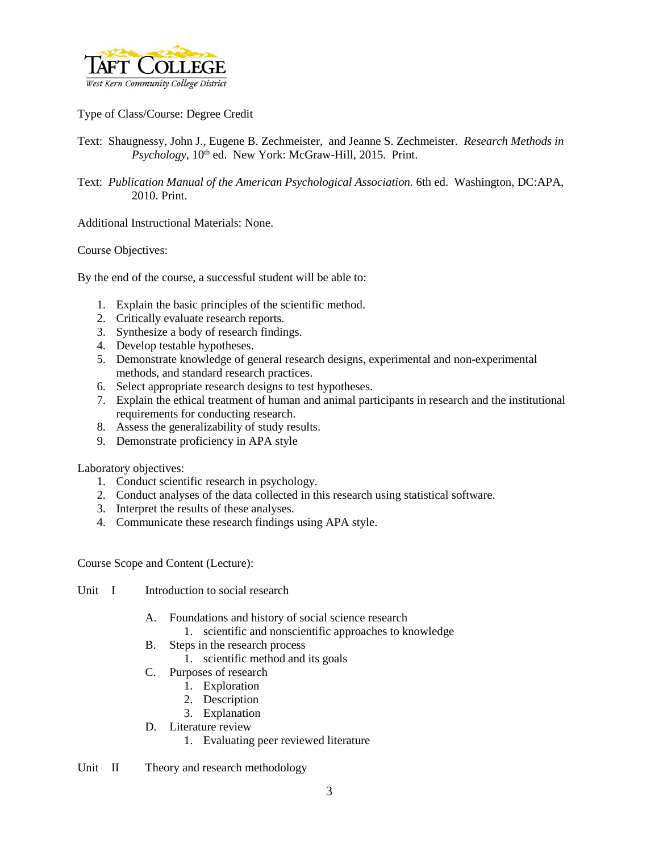

Type of Class/Course: Degree Credit

- Text: Shaugnessy, John J., Eugene B. Zechmeister, and Jeanne S. Zechmeister. *Research Methods in Psychology, 10<sup>th</sup>* ed. New York: McGraw-Hill, 2015. Print.
- Text: Publication Manual of the American Psychological Association. 6th ed. Washington, DC:APA, 2010. Print.

Additional Instructional Materials: None.

Course Objectives:

By the end of the course, a successful student will be able to:

- 1. Explain the basic principles of the scientific method.
- 2. Critically evaluate research reports.
- 3. Synthesize a body of research findings.
- 4. Develop testable hypotheses.
- 5. Demonstrate knowledge of general research designs, experimental and non-experimental methods, and standard research practices.
- 6. Select appropriate research designs to test hypotheses.
- 7. Explain the ethical treatment of human and animal participants in research and the institutional requirements for conducting research.
- 8. Assess the generalizability of study results.
- 9. Demonstrate proficiency in APA style

Laboratory objectives:

- 1. Conduct scientific research in psychology.
- 2. Conduct analyses of the data collected in this research using statistical software.
- 3. Interpret the results of these analyses.
- 4. Communicate these research findings using APA style.

Course Scope and Content (Lecture):

- Unit I Introduction to social research
	- A. Foundations and history of social science research
		- 1. scientific and nonscientific approaches to knowledge
	- B. Steps in the research process
		- 1. scientific method and its goals
	- C. Purposes of research
		- 1. Exploration
		- 2. Description
		- 3. Explanation
	- D. Literature review
		- 1. Evaluating peer reviewed literature
- Unit II Theory and research methodology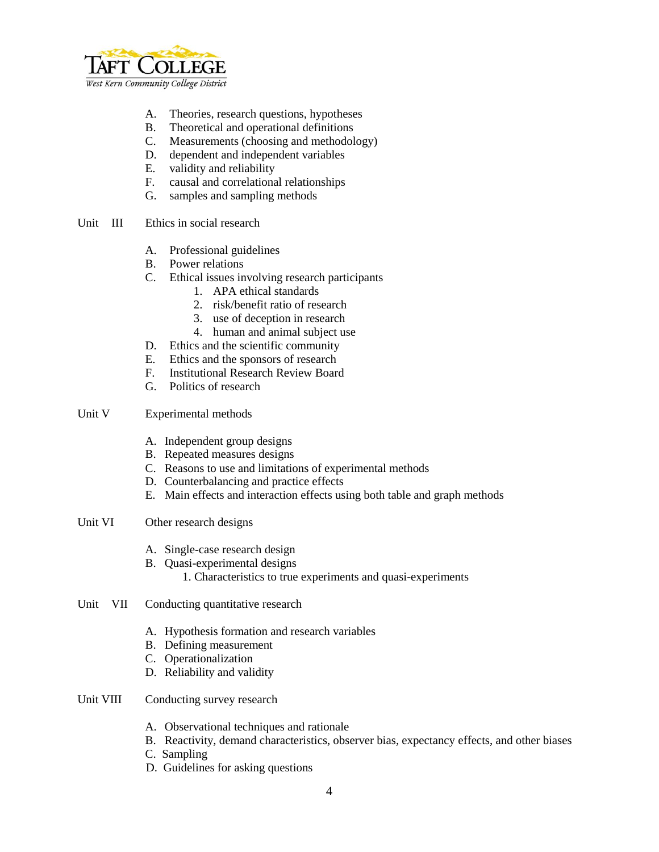

- A. Theories, research questions, hypotheses
- B. Theoretical and operational definitions
- C. Measurements (choosing and methodology)
- D. dependent and independent variables
- E. validity and reliability
- F. causal and correlational relationships
- G. samples and sampling methods
- Unit III Ethics in social research
	- A. Professional guidelines
	- B. Power relations
	- C. Ethical issues involving research participants
		- 1. APA ethical standards
		- 2. risk/benefit ratio of research
		- 3. use of deception in research
		- 4. human and animal subject use
	- D. Ethics and the scientific community
	- E. Ethics and the sponsors of research
	- F. Institutional Research Review Board
	- G. Politics of research
- Unit V Experimental methods
	- A. Independent group designs
	- B. Repeated measures designs
	- C. Reasons to use and limitations of experimental methods
	- D. Counterbalancing and practice effects
	- E. Main effects and interaction effects using both table and graph methods
- Unit VI Other research designs
	- A. Single-case research design
	- B. Quasi-experimental designs
		- 1. Characteristics to true experiments and quasi-experiments
- Unit VII Conducting quantitative research
	- A. Hypothesis formation and research variables
	- B. Defining measurement
	- C. Operationalization
	- D. Reliability and validity
- Unit VIII Conducting survey research
	- A. Observational techniques and rationale
	- B. Reactivity, demand characteristics, observer bias, expectancy effects, and other biases
	- C. Sampling
	- D. Guidelines for asking questions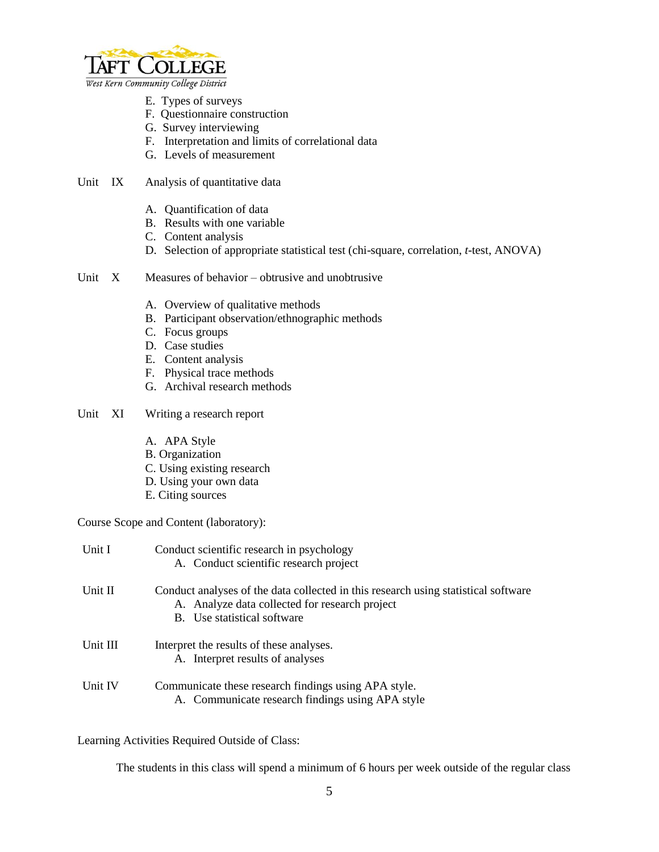

West Kern Community College District

- E. Types of surveys
- F. Questionnaire construction
- G. Survey interviewing
- F. Interpretation and limits of correlational data
- G. Levels of measurement
- Unit IX Analysis of quantitative data
	- A. Quantification of data
	- B. Results with one variable
	- C. Content analysis
	- D. Selection of appropriate statistical test (chi-square, correlation, *t*-test, ANOVA)
- Unit X Measures of behavior obtrusive and unobtrusive
	- A. Overview of qualitative methods
	- B. Participant observation/ethnographic methods
	- C. Focus groups
	- D. Case studies
	- E. Content analysis
	- F. Physical trace methods
	- G. Archival research methods
- Unit XI Writing a research report
	- A. APA Style
	- B. Organization
	- C. Using existing research
	- D. Using your own data
	- E. Citing sources

Course Scope and Content (laboratory):

| Unit I   | Conduct scientific research in psychology<br>A. Conduct scientific research project                                                                                 |
|----------|---------------------------------------------------------------------------------------------------------------------------------------------------------------------|
| Unit II  | Conduct analyses of the data collected in this research using statistical software<br>A. Analyze data collected for research project<br>B. Use statistical software |
| Unit III | Interpret the results of these analyses.<br>A. Interpret results of analyses                                                                                        |
| Unit IV  | Communicate these research findings using APA style.<br>A. Communicate research findings using APA style                                                            |

Learning Activities Required Outside of Class:

The students in this class will spend a minimum of 6 hours per week outside of the regular class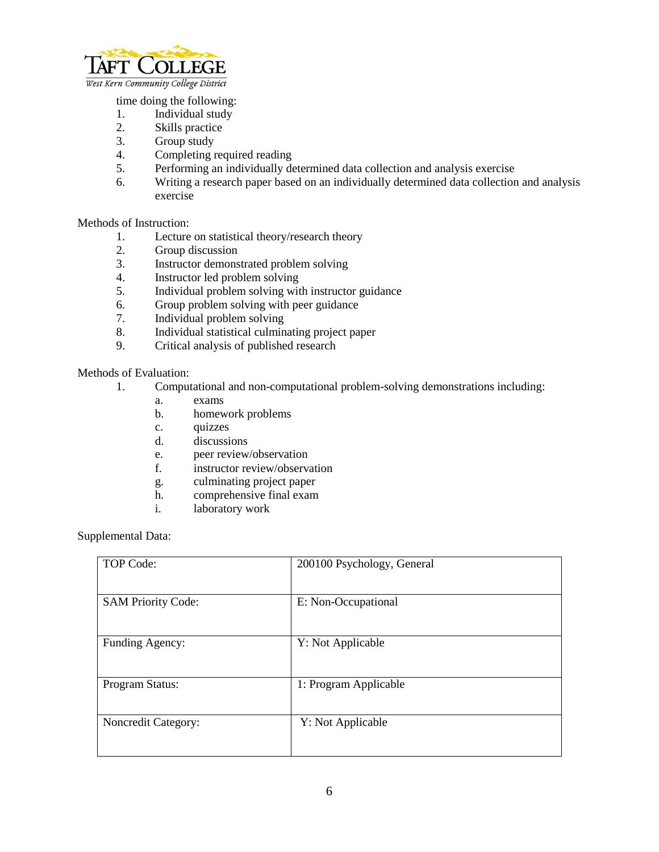

time doing the following:

- 
- 1. Individual study<br>2. Skills practice Skills practice
- 3. Group study
- 4. Completing required reading
- 5. Performing an individually determined data collection and analysis exercise
- 6. Writing a research paper based on an individually determined data collection and analysis exercise

## Methods of Instruction:

- 1. Lecture on statistical theory/research theory<br>2. Group discussion
- Group discussion
- 3. Instructor demonstrated problem solving
- 4. Instructor led problem solving
- 5. Individual problem solving with instructor guidance
- 6. Group problem solving with peer guidance
- 
- 7. Individual problem solving<br>8. Individual statistical culmin Individual statistical culminating project paper
- 9. Critical analysis of published research

## Methods of Evaluation:

- 1. Computational and non-computational problem-solving demonstrations including:
	- a. exams
	- b. homework problems
	- c. quizzes
	- d. discussions
	- e. peer review/observation
	- f. instructor review/observation
	- g. culminating project paper
	- h. comprehensive final exam
	- i. laboratory work

Supplemental Data:

| <b>TOP Code:</b>           | 200100 Psychology, General |
|----------------------------|----------------------------|
| <b>SAM Priority Code:</b>  | E: Non-Occupational        |
| Funding Agency:            | Y: Not Applicable          |
| Program Status:            | 1: Program Applicable      |
| <b>Noncredit Category:</b> | Y: Not Applicable          |